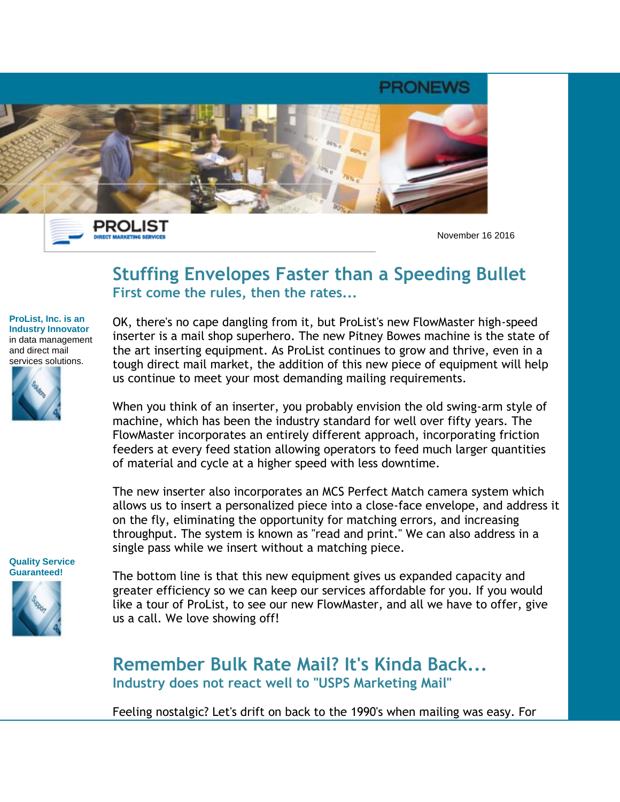

PROLIST **DIRECT MARKETING SERVICES** 

November 16 2016

## **Stuffing Envelopes Faster than a Speeding Bullet First come the rules, then the rates...**

**ProList, Inc. is an Industry Innovator** in data management and direct mail services solutions.



OK, there's no cape dangling from it, but ProList's new FlowMaster high-speed inserter is a mail shop superhero. The new Pitney Bowes machine is the state of the art inserting equipment. As ProList continues to grow and thrive, even in a tough direct mail market, the addition of this new piece of equipment will help us continue to meet your most demanding mailing requirements.

When you think of an inserter, you probably envision the old swing-arm style of machine, which has been the industry standard for well over fifty years. The FlowMaster incorporates an entirely different approach, incorporating friction feeders at every feed station allowing operators to feed much larger quantities of material and cycle at a higher speed with less downtime.

The new inserter also incorporates an MCS Perfect Match camera system which allows us to insert a personalized piece into a close-face envelope, and address it on the fly, eliminating the opportunity for matching errors, and increasing throughput. The system is known as "read and print." We can also address in a single pass while we insert without a matching piece.

**Quality Service Guaranteed!** 

The bottom line is that this new equipment gives us expanded capacity and greater efficiency so we can keep our services affordable for you. If you would like a tour of ProList, to see our new FlowMaster, and all we have to offer, give us a call. We love showing off!

**Remember Bulk Rate Mail? It's Kinda Back... Industry does not react well to "USPS Marketing Mail"**

Feeling nostalgic? Let's drift on back to the 1990's when mailing was easy. For